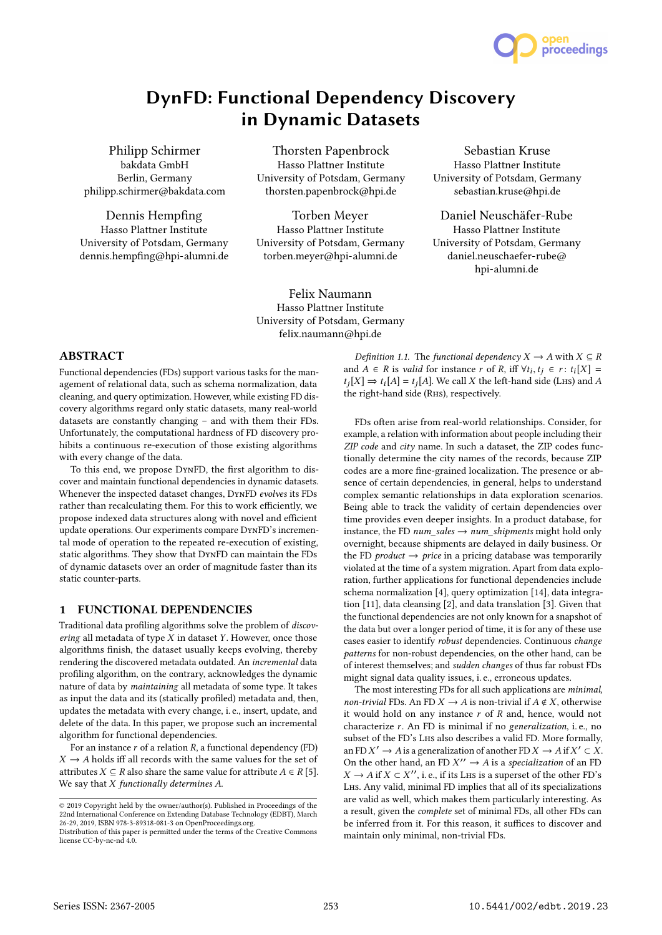

Philipp Schirmer bakdata GmbH Berlin, Germany philipp.schirmer@bakdata.com

Dennis Hempfing Hasso Plattner Institute University of Potsdam, Germany dennis.hempfing@hpi-alumni.de

Thorsten Papenbrock Hasso Plattner Institute University of Potsdam, Germany thorsten.papenbrock@hpi.de

Torben Meyer Hasso Plattner Institute University of Potsdam, Germany torben.meyer@hpi-alumni.de

Felix Naumann Hasso Plattner Institute University of Potsdam, Germany felix.naumann@hpi.de

Sebastian Kruse Hasso Plattner Institute University of Potsdam, Germany sebastian.kruse@hpi.de

proceedings

Daniel Neuschäfer-Rube Hasso Plattner Institute University of Potsdam, Germany daniel.neuschaefer-rube@ hpi-alumni.de

## ABSTRACT

Functional dependencies (FDs) support various tasks for the management of relational data, such as schema normalization, data cleaning, and query optimization. However, while existing FD discovery algorithms regard only static datasets, many real-world datasets are constantly changing – and with them their FDs. Unfortunately, the computational hardness of FD discovery prohibits a continuous re-execution of those existing algorithms with every change of the data.

To this end, we propose DynFD, the first algorithm to discover and maintain functional dependencies in dynamic datasets. Whenever the inspected dataset changes, DynFD evolves its FDs rather than recalculating them. For this to work efficiently, we propose indexed data structures along with novel and efficient update operations. Our experiments compare DynFD's incremental mode of operation to the repeated re-execution of existing, static algorithms. They show that DynFD can maintain the FDs of dynamic datasets over an order of magnitude faster than its static counter-parts.

## 1 FUNCTIONAL DEPENDENCIES

Traditional data profiling algorithms solve the problem of discovering all metadata of type  $X$  in dataset  $Y$ . However, once those algorithms finish, the dataset usually keeps evolving, thereby rendering the discovered metadata outdated. An incremental data profiling algorithm, on the contrary, acknowledges the dynamic nature of data by maintaining all metadata of some type. It takes as input the data and its (statically profiled) metadata and, then, updates the metadata with every change, i. e., insert, update, and delete of the data. In this paper, we propose such an incremental algorithm for functional dependencies.

For an instance  $r$  of a relation  $R$ , a functional dependency (FD)  $X \rightarrow A$  holds iff all records with the same values for the set of attributes *X* ⊆ *R* also share the same value for attribute *A* ∈ *R* [5]. We say that  $X$  functionally determines  $A$ .

Definition 1.1. The functional dependency  $X \to A$  with  $X \subseteq R$ and  $A \in R$  is valid for instance r of R, iff  $\forall t_i, t_j \in r : t_i[X] =$ <br>t·[X]  $\rightarrow$  t·[A] = t·[A] We call X the left-hand side (Lus) and A  $t_j[X] \Rightarrow t_i[A] = t_j[A]$ . We call X the left-hand side (LHS) and A the right-hand side (RHs), respectively.

FDs often arise from real-world relationships. Consider, for example, a relation with information about people including their ZIP code and city name. In such a dataset, the ZIP codes functionally determine the city names of the records, because ZIP codes are a more fine-grained localization. The presence or absence of certain dependencies, in general, helps to understand complex semantic relationships in data exploration scenarios. Being able to track the validity of certain dependencies over time provides even deeper insights. In a product database, for instance, the FD num\_sales  $\rightarrow$  num\_shipments might hold only overnight, because shipments are delayed in daily business. Or the FD *product*  $\rightarrow$  *price* in a pricing database was temporarily violated at the time of a system migration. Apart from data exploration, further applications for functional dependencies include schema normalization [4], query optimization [14], data integration [11], data cleansing [2], and data translation [3]. Given that the functional dependencies are not only known for a snapshot of the data but over a longer period of time, it is for any of these use cases easier to identify robust dependencies. Continuous change patterns for non-robust dependencies, on the other hand, can be of interest themselves; and sudden changes of thus far robust FDs might signal data quality issues, i. e., erroneous updates.

The most interesting FDs for all such applications are minimal, non-trivial FDs. An FD  $X \to A$  is non-trivial if  $A \notin X$ , otherwise it would hold on any instance  $r$  of  $R$  and, hence, would not characterize  $r$ . An FD is minimal if no generalization, i.e., no subset of the FD's Lhs also describes a valid FD. More formally, an FD  $X' \to A$  is a generalization of another FD  $X \to A$  if  $X' \subset X$ .<br>On the other hand, an FD  $X'' \to A$  is a specialization of an FD On the other hand, an FD  $X'' \to A$  is a specialization of an FD<br> $X \to A$  if  $X \subset Y''$ , i.e., if its Lus is a superset of the other FD's  $X \to A$  if  $X \subset X''$ , i. e., if its LHs is a superset of the other FD's<br>Lus. Any valid minimal FD implies that all of its specializations Lhs. Any valid, minimal FD implies that all of its specializations are valid as well, which makes them particularly interesting. As a result, given the complete set of minimal FDs, all other FDs can be inferred from it. For this reason, it suffices to discover and maintain only minimal, non-trivial FDs.

<sup>©</sup> 2019 Copyright held by the owner/author(s). Published in Proceedings of the 22nd International Conference on Extending Database Technology (EDBT), March 26-29, 2019, ISBN 978-3-89318-081-3 on OpenProceedings.org.

Distribution of this paper is permitted under the terms of the Creative Commons license CC-by-nc-nd 4.0.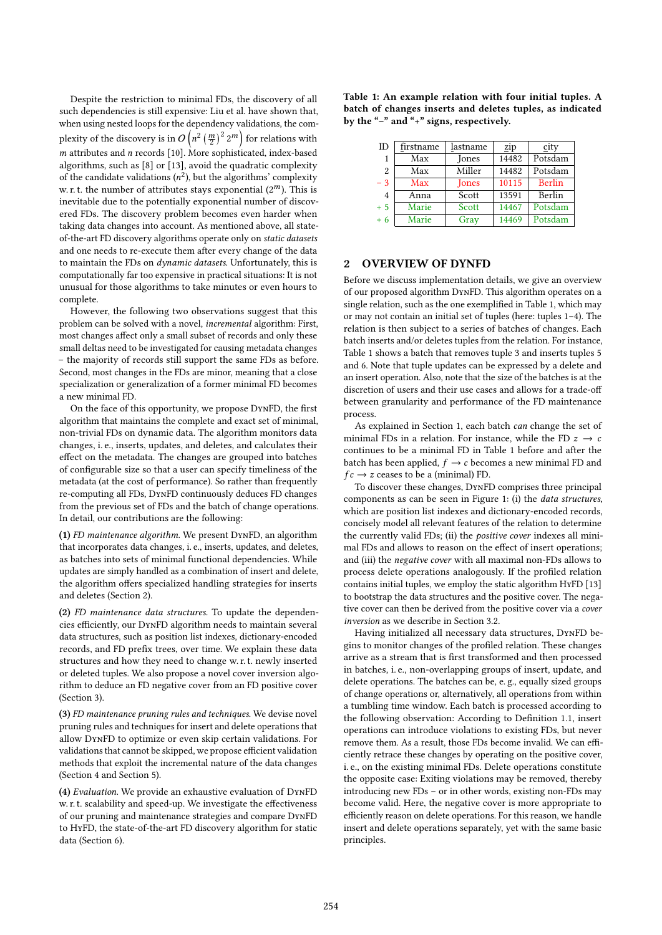Despite the restriction to minimal FDs, the discovery of all such dependencies is still expensive: Liu et al. have shown that, when using nested loops for the dependency validations, the complexity of the discovery is in  $O\left(n^2\left(\frac{m}{2}\right)^22^m\right)$  for relations with m attributes and n records [10]. More sophisticated, index-based<br>algorithms, such as [8] or [13], avoid the quadratic complexity algorithms, such as [8] or [13], avoid the quadratic complexity of the candidate validations  $(n^2)$ , but the algorithms' complexity<br>w r t, the number of attributes stavs exponential  $(2^m)$ . This is w. r. t. the number of attributes stays exponential  $(2^m)$ . This is inevitable due to the potentially exponential number of discovered FDs. The discovery problem becomes even harder when taking data changes into account. As mentioned above, all stateof-the-art FD discovery algorithms operate only on static datasets and one needs to re-execute them after every change of the data to maintain the FDs on dynamic datasets. Unfortunately, this is computationally far too expensive in practical situations: It is not unusual for those algorithms to take minutes or even hours to complete.

However, the following two observations suggest that this problem can be solved with a novel, incremental algorithm: First, most changes affect only a small subset of records and only these small deltas need to be investigated for causing metadata changes – the majority of records still support the same FDs as before. Second, most changes in the FDs are minor, meaning that a close specialization or generalization of a former minimal FD becomes a new minimal FD.

On the face of this opportunity, we propose DynFD, the first algorithm that maintains the complete and exact set of minimal, non-trivial FDs on dynamic data. The algorithm monitors data changes, i. e., inserts, updates, and deletes, and calculates their effect on the metadata. The changes are grouped into batches of configurable size so that a user can specify timeliness of the metadata (at the cost of performance). So rather than frequently re-computing all FDs, DynFD continuously deduces FD changes from the previous set of FDs and the batch of change operations. In detail, our contributions are the following:

(1) FD maintenance algorithm. We present DynFD, an algorithm that incorporates data changes, i. e., inserts, updates, and deletes, as batches into sets of minimal functional dependencies. While updates are simply handled as a combination of insert and delete, the algorithm offers specialized handling strategies for inserts and deletes (Section 2).

(2) FD maintenance data structures. To update the dependencies efficiently, our DynFD algorithm needs to maintain several data structures, such as position list indexes, dictionary-encoded records, and FD prefix trees, over time. We explain these data structures and how they need to change w. r. t. newly inserted or deleted tuples. We also propose a novel cover inversion algorithm to deduce an FD negative cover from an FD positive cover (Section 3).

(3) FD maintenance pruning rules and techniques. We devise novel pruning rules and techniques for insert and delete operations that allow DynFD to optimize or even skip certain validations. For validations that cannot be skipped, we propose efficient validation methods that exploit the incremental nature of the data changes (Section 4 and Section 5).

(4) Evaluation. We provide an exhaustive evaluation of DynFD w. r. t. scalability and speed-up. We investigate the effectiveness of our pruning and maintenance strategies and compare DynFD to HyFD, the state-of-the-art FD discovery algorithm for static data (Section 6).

Table 1: An example relation with four initial tuples. A batch of changes inserts and deletes tuples, as indicated by the "–" and "+" signs, respectively.

| ID            | firstname | lastname | zip   | city          |
|---------------|-----------|----------|-------|---------------|
|               |           |          |       |               |
| 1             | Max       | Jones    | 14482 | Potsdam       |
| $\mathcal{L}$ | Max       | Miller   | 14482 | Potsdam       |
| $-3$          | Max       | Jones    | 10115 | <b>Berlin</b> |
| 4             | Anna      | Scott    | 13591 | Berlin        |
| $+5$          | Marie     | Scott    | 14467 | Potsdam       |
| $+6$          | Marie     | Gray     | 14469 | Potsdam       |

## 2 OVERVIEW OF DYNFD

Before we discuss implementation details, we give an overview of our proposed algorithm DynFD. This algorithm operates on a single relation, such as the one exemplified in Table 1, which may or may not contain an initial set of tuples (here: tuples 1–4). The relation is then subject to a series of batches of changes. Each batch inserts and/or deletes tuples from the relation. For instance, Table 1 shows a batch that removes tuple 3 and inserts tuples 5 and 6. Note that tuple updates can be expressed by a delete and an insert operation. Also, note that the size of the batches is at the discretion of users and their use cases and allows for a trade-off between granularity and performance of the FD maintenance process.

As explained in Section 1, each batch can change the set of minimal FDs in a relation. For instance, while the FD  $z \rightarrow c$ continues to be a minimal FD in Table 1 before and after the batch has been applied,  $f \rightarrow c$  becomes a new minimal FD and  $fc \rightarrow z$  ceases to be a (minimal) FD.

To discover these changes, DynFD comprises three principal components as can be seen in Figure 1: (i) the data structures, which are position list indexes and dictionary-encoded records, concisely model all relevant features of the relation to determine the currently valid FDs; (ii) the *positive cover* indexes all minimal FDs and allows to reason on the effect of insert operations; and (iii) the negative cover with all maximal non-FDs allows to process delete operations analogously. If the profiled relation contains initial tuples, we employ the static algorithm HyFD [13] to bootstrap the data structures and the positive cover. The negative cover can then be derived from the positive cover via a cover inversion as we describe in Section 3.2.

Having initialized all necessary data structures, DynFD begins to monitor changes of the profiled relation. These changes arrive as a stream that is first transformed and then processed in batches, i. e., non-overlapping groups of insert, update, and delete operations. The batches can be, e. g., equally sized groups of change operations or, alternatively, all operations from within a tumbling time window. Each batch is processed according to the following observation: According to Definition 1.1, insert operations can introduce violations to existing FDs, but never remove them. As a result, those FDs become invalid. We can efficiently retrace these changes by operating on the positive cover, i. e., on the existing minimal FDs. Delete operations constitute the opposite case: Exiting violations may be removed, thereby introducing new FDs – or in other words, existing non-FDs may become valid. Here, the negative cover is more appropriate to efficiently reason on delete operations. For this reason, we handle insert and delete operations separately, yet with the same basic principles.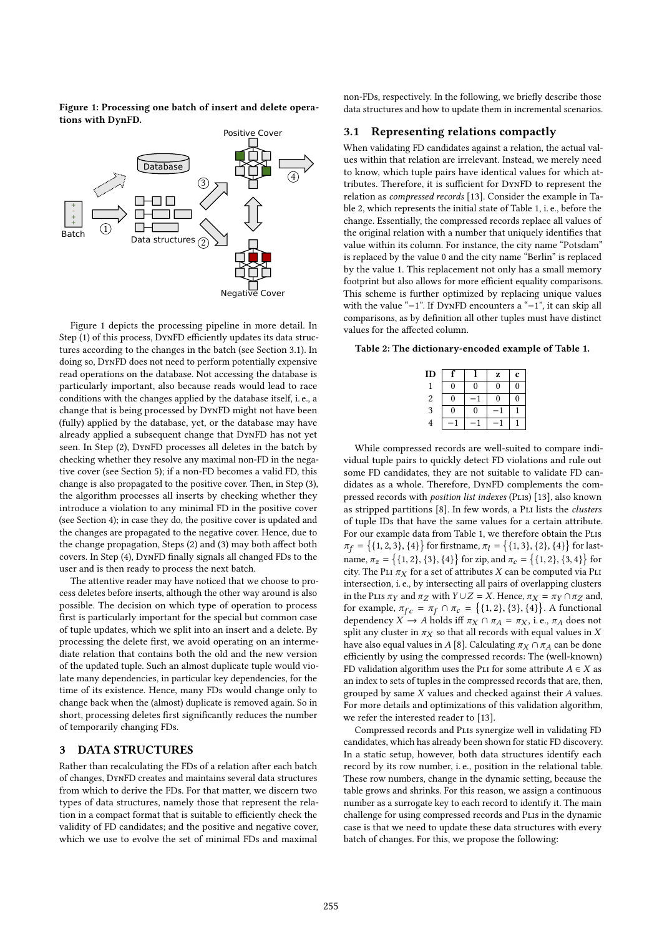Figure 1: Processing one batch of insert and delete operations with DynFD.



Figure 1 depicts the processing pipeline in more detail. In Step (1) of this process, DynFD efficiently updates its data structures according to the changes in the batch (see Section 3.1). In doing so, DynFD does not need to perform potentially expensive read operations on the database. Not accessing the database is particularly important, also because reads would lead to race conditions with the changes applied by the database itself, i. e., a change that is being processed by DynFD might not have been (fully) applied by the database, yet, or the database may have already applied a subsequent change that DynFD has not yet seen. In Step (2), DynFD processes all deletes in the batch by checking whether they resolve any maximal non-FD in the negative cover (see Section 5); if a non-FD becomes a valid FD, this change is also propagated to the positive cover. Then, in Step (3), the algorithm processes all inserts by checking whether they introduce a violation to any minimal FD in the positive cover (see Section 4); in case they do, the positive cover is updated and the changes are propagated to the negative cover. Hence, due to the change propagation, Steps (2) and (3) may both affect both covers. In Step (4), DynFD finally signals all changed FDs to the user and is then ready to process the next batch.

The attentive reader may have noticed that we choose to process deletes before inserts, although the other way around is also possible. The decision on which type of operation to process first is particularly important for the special but common case of tuple updates, which we split into an insert and a delete. By processing the delete first, we avoid operating on an intermediate relation that contains both the old and the new version of the updated tuple. Such an almost duplicate tuple would violate many dependencies, in particular key dependencies, for the time of its existence. Hence, many FDs would change only to change back when the (almost) duplicate is removed again. So in short, processing deletes first significantly reduces the number of temporarily changing FDs.

## 3 DATA STRUCTURES

Rather than recalculating the FDs of a relation after each batch of changes, DynFD creates and maintains several data structures from which to derive the FDs. For that matter, we discern two types of data structures, namely those that represent the relation in a compact format that is suitable to efficiently check the validity of FD candidates; and the positive and negative cover, which we use to evolve the set of minimal FDs and maximal

non-FDs, respectively. In the following, we briefly describe those data structures and how to update them in incremental scenarios.

### 3.1 Representing relations compactly

When validating FD candidates against a relation, the actual values within that relation are irrelevant. Instead, we merely need to know, which tuple pairs have identical values for which attributes. Therefore, it is sufficient for DynFD to represent the relation as compressed records [13]. Consider the example in Table 2, which represents the initial state of Table 1, i. e., before the change. Essentially, the compressed records replace all values of the original relation with a number that uniquely identifies that value within its column. For instance, the city name "Potsdam" is replaced by the value 0 and the city name "Berlin" is replaced by the value 1. This replacement not only has a small memory footprint but also allows for more efficient equality comparisons. This scheme is further optimized by replacing unique values with the value "−1". If DynFD encounters a "−1", it can skip all comparisons, as by definition all other tuples must have distinct values for the affected column.

Table 2: The dictionary-encoded example of Table 1.

| ID         |                |   | z | c |
|------------|----------------|---|---|---|
| 1          | 0              | 0 | 0 | 0 |
| $\sqrt{2}$ | $\overline{0}$ |   | 0 | 0 |
| 3          | 0              | 0 |   |   |
| 4          |                |   |   |   |

While compressed records are well-suited to compare individual tuple pairs to quickly detect FD violations and rule out some FD candidates, they are not suitable to validate FD candidates as a whole. Therefore, DynFD complements the compressed records with position list indexes (PLIs) [13], also known as stripped partitions [8]. In few words, a PLI lists the clusters of tuple IDs that have the same values for a certain attribute. For our example data from Table 1, we therefore obtain the Plis  $\pi_f = \{ \{1, 2, 3\}, \{4\} \}$  for firstname,  $\pi_l = \{ \{1, 3\}, \{2\}, \{4\} \}$  for lastname,  $\pi_z = \{\{1, 2\}, \{3\}, \{4\}\}$  for zip, and  $\pi_c = \{\{1, 2\}, \{3, 4\}\}$  for  $\overline{C}$  it will be PLI  $\pi_{\mathcal{X}}$  for a set of attributes Y can be computed via PLI city. The PLI  $\pi_X$  for a set of attributes X can be computed via PLI intersection, i. e., by intersecting all pairs of overlapping clusters in the PLIs  $\pi_Y$  and  $\pi_Z$  with  $Y \cup Z = X$ . Hence,  $\pi_X = \pi_Y \cap \pi_Z$  and, for example,  $\pi_{fc} = \pi_f \cap \pi_c = \{(1, 2), \{3\}, \{4\}\}\$ . A functional dependency  $X \to A$  holds iff  $\pi_X \cap \pi_f = \pi_X$  i.e.  $\pi_f$  does not dependency  $X \to A$  holds iff  $\pi_X \cap \pi_A = \pi_X$ , i.e.,  $\pi_A$  does not split any cluster in  $\pi_X$  so that all records with equal values in X have also equal values in A [8]. Calculating  $\pi_X \cap \pi_A$  can be done efficiently by using the compressed records: The (well-known) FD validation algorithm uses the PLI for some attribute  $A \in X$  as an index to sets of tuples in the compressed records that are, then, grouped by same X values and checked against their A values. For more details and optimizations of this validation algorithm, we refer the interested reader to [13].

Compressed records and Plis synergize well in validating FD candidates, which has already been shown for static FD discovery. In a static setup, however, both data structures identify each record by its row number, i. e., position in the relational table. These row numbers, change in the dynamic setting, because the table grows and shrinks. For this reason, we assign a continuous number as a surrogate key to each record to identify it. The main challenge for using compressed records and Plis in the dynamic case is that we need to update these data structures with every batch of changes. For this, we propose the following: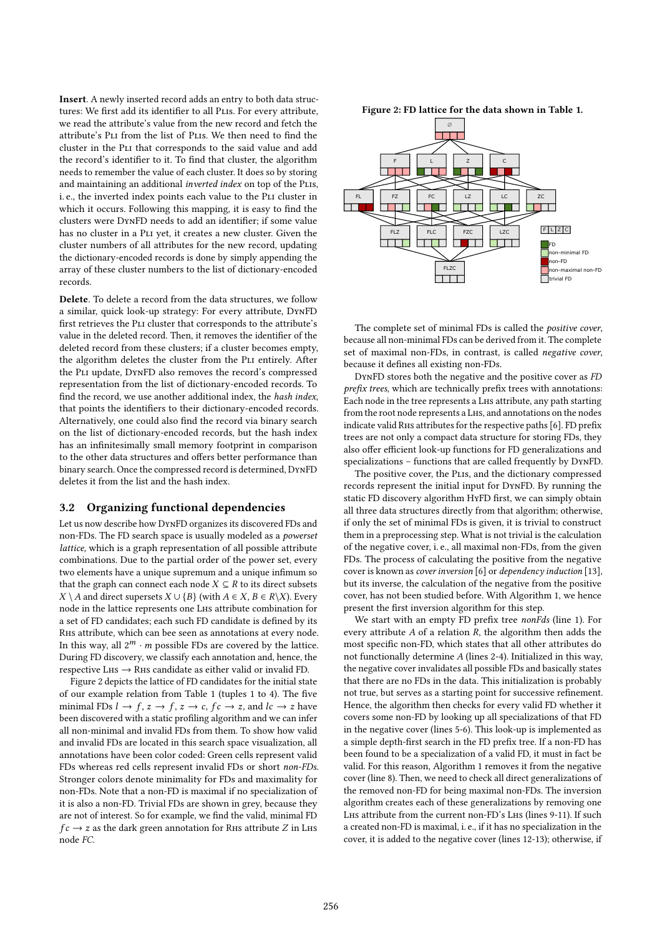Insert. A newly inserted record adds an entry to both data structures: We first add its identifier to all PLIs. For every attribute, we read the attribute's value from the new record and fetch the attribute's Pli from the list of Plis. We then need to find the cluster in the Pli that corresponds to the said value and add the record's identifier to it. To find that cluster, the algorithm needs to remember the value of each cluster. It does so by storing and maintaining an additional *inverted index* on top of the PLIs, i. e., the inverted index points each value to the Pli cluster in which it occurs. Following this mapping, it is easy to find the clusters were DynFD needs to add an identifier; if some value has no cluster in a Pli yet, it creates a new cluster. Given the cluster numbers of all attributes for the new record, updating the dictionary-encoded records is done by simply appending the array of these cluster numbers to the list of dictionary-encoded records.

Delete. To delete a record from the data structures, we follow a similar, quick look-up strategy: For every attribute, DynFD first retrieves the PLI cluster that corresponds to the attribute's value in the deleted record. Then, it removes the identifier of the deleted record from these clusters; if a cluster becomes empty, the algorithm deletes the cluster from the PLI entirely. After the Pli update, DynFD also removes the record's compressed representation from the list of dictionary-encoded records. To find the record, we use another additional index, the hash index, that points the identifiers to their dictionary-encoded records. Alternatively, one could also find the record via binary search on the list of dictionary-encoded records, but the hash index has an infinitesimally small memory footprint in comparison to the other data structures and offers better performance than binary search. Once the compressed record is determined, DynFD deletes it from the list and the hash index.

#### 3.2 Organizing functional dependencies

Let us now describe how DynFD organizes its discovered FDs and non-FDs. The FD search space is usually modeled as a powerset lattice, which is a graph representation of all possible attribute combinations. Due to the partial order of the power set, every two elements have a unique supremum and a unique infimum so that the graph can connect each node  $X \subseteq R$  to its direct subsets  $X \setminus A$  and direct supersets  $X \cup {B}$  (with  $A \in X, B \in R\setminus X$ ). Every node in the lattice represents one Lhs attribute combination for a set of FD candidates; each such FD candidate is defined by its Rhs attribute, which can bee seen as annotations at every node. In this way, all  $2^m \cdot m$  possible FDs are covered by the lattice.<br>During ED discovery we classify each annotation and hance the During FD discovery, we classify each annotation and, hence, the respective L $HS \rightarrow RHS$  candidate as either valid or invalid FD.

Figure 2 depicts the lattice of FD candidates for the initial state of our example relation from Table 1 (tuples 1 to 4). The five minimal FDs  $l \rightarrow f$ ,  $z \rightarrow f$ ,  $z \rightarrow c$ ,  $fc \rightarrow z$ , and  $lc \rightarrow z$  have been discovered with a static profiling algorithm and we can infer all non-minimal and invalid FDs from them. To show how valid and invalid FDs are located in this search space visualization, all annotations have been color coded: Green cells represent valid FDs whereas red cells represent invalid FDs or short non-FDs. Stronger colors denote minimality for FDs and maximality for non-FDs. Note that a non-FD is maximal if no specialization of it is also a non-FD. Trivial FDs are shown in grey, because they are not of interest. So for example, we find the valid, minimal FD  $fc \rightarrow z$  as the dark green annotation for RHs attribute Z in LHs node FC.

∅  $F \parallel L \parallel Z \parallel C$ FL || FZ || FC || LZ || LC || ZC FZ || FC || LZ || LC n Ti n Tin <u>ransa</u> **TILLE** an di T **The Second Second**  $FLZC$ FLZ | | FLC | | FZC | | LZC  $\blacksquare$  $\Box$ m no n a da ka Е FD non-minimal FD non-FD FLZC non-maximal non-FD  $\Box \Box \Box$ Ttrivial FD

The complete set of minimal FDs is called the positive cover, because all non-minimal FDs can be derived from it. The complete set of maximal non-FDs, in contrast, is called negative cover, because it defines all existing non-FDs.

DynFD stores both the negative and the positive cover as FD prefix trees, which are technically prefix trees with annotations: Each node in the tree represents a Lhs attribute, any path starting from the root node represents a LHS, and annotations on the nodes indicate valid Rhs attributes for the respective paths [6]. FD prefix trees are not only a compact data structure for storing FDs, they also offer efficient look-up functions for FD generalizations and specializations – functions that are called frequently by DynFD.

The positive cover, the PLIs, and the dictionary compressed records represent the initial input for DynFD. By running the static FD discovery algorithm HyFD first, we can simply obtain all three data structures directly from that algorithm; otherwise, if only the set of minimal FDs is given, it is trivial to construct them in a preprocessing step. What is not trivial is the calculation of the negative cover, i. e., all maximal non-FDs, from the given FDs. The process of calculating the positive from the negative cover is known as cover inversion [6] or dependency induction [13], but its inverse, the calculation of the negative from the positive cover, has not been studied before. With Algorithm 1, we hence present the first inversion algorithm for this step.

We start with an empty FD prefix tree nonFds (line 1). For every attribute  $A$  of a relation  $R$ , the algorithm then adds the most specific non-FD, which states that all other attributes do not functionally determine A (lines 2-4). Initialized in this way, the negative cover invalidates all possible FDs and basically states that there are no FDs in the data. This initialization is probably not true, but serves as a starting point for successive refinement. Hence, the algorithm then checks for every valid FD whether it covers some non-FD by looking up all specializations of that FD in the negative cover (lines 5-6). This look-up is implemented as a simple depth-first search in the FD prefix tree. If a non-FD has been found to be a specialization of a valid FD, it must in fact be valid. For this reason, Algorithm 1 removes it from the negative cover (line 8). Then, we need to check all direct generalizations of the removed non-FD for being maximal non-FDs. The inversion algorithm creates each of these generalizations by removing one Lhs attribute from the current non-FD's Lhs (lines 9-11). If such a created non-FD is maximal, i. e., if it has no specialization in the cover, it is added to the negative cover (lines 12-13); otherwise, if

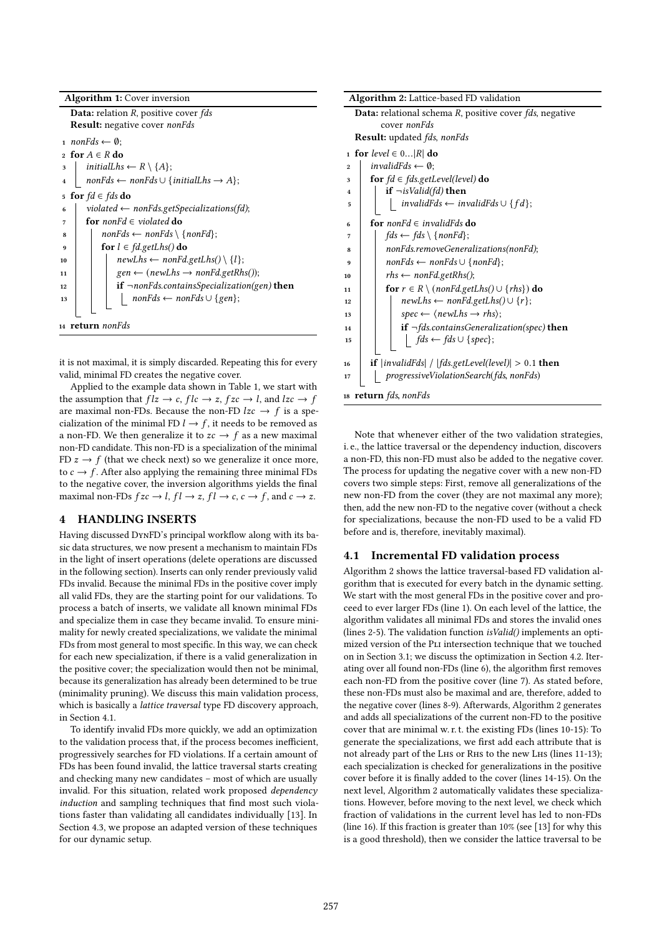| <b>Algorithm 1:</b> Cover inversion                                                      |  |  |  |  |  |  |
|------------------------------------------------------------------------------------------|--|--|--|--|--|--|
| <b>Data:</b> relation R, positive cover fds                                              |  |  |  |  |  |  |
| <b>Result:</b> negative cover <i>nonFds</i>                                              |  |  |  |  |  |  |
| 1 <i>nonFds</i> $\leftarrow \emptyset$ ;                                                 |  |  |  |  |  |  |
| for $A \in R$ do<br>$\mathbf{r}$                                                         |  |  |  |  |  |  |
| initialLhs $\leftarrow R \setminus \{A\};$<br>3                                          |  |  |  |  |  |  |
| $nonFds \leftarrow nonFds \cup \{initialLhs \rightarrow A\};$<br>$\overline{\mathbf{4}}$ |  |  |  |  |  |  |
| for $fd \in fds$ do<br>5                                                                 |  |  |  |  |  |  |
| violated $\leftarrow$ nonFds.getSpecializations(fd);<br>6                                |  |  |  |  |  |  |
| for nonFd $\in$ violated do<br>7                                                         |  |  |  |  |  |  |
| $nonFds \leftarrow nonFds \setminus \{nonFd\};$<br>8                                     |  |  |  |  |  |  |
| for $l \in \text{fd.getLhs}()$ do<br>9                                                   |  |  |  |  |  |  |
| $newLhs \leftarrow nonFd.getLhs() \setminus \{l\};$<br>10                                |  |  |  |  |  |  |
| $gen \leftarrow (newLhs \rightarrow nonFd.getRhs))$ ;<br>11                              |  |  |  |  |  |  |
| <b>if</b> $\neg$ <i>nonFds.containsSpecialization(gen)</i> <b>then</b><br>12             |  |  |  |  |  |  |
| $nonFds \leftarrow nonFds \cup \{gen\};$<br>13                                           |  |  |  |  |  |  |
| 14 <b>return</b> nonFds                                                                  |  |  |  |  |  |  |

it is not maximal, it is simply discarded. Repeating this for every valid, minimal FD creates the negative cover.

Applied to the example data shown in Table 1, we start with the assumption that  $flz \to c$ ,  $flc \to z$ ,  $fzc \to l$ , and  $lzc \to f$ are maximal non-FDs. Because the non-FD  $lzc \rightarrow f$  is a specialization of the minimal FD  $l \rightarrow f$ , it needs to be removed as a non-FD. We then generalize it to  $zc \rightarrow f$  as a new maximal non-FD candidate. This non-FD is a specialization of the minimal FD  $z \rightarrow f$  (that we check next) so we generalize it once more, to  $c \rightarrow f$ . After also applying the remaining three minimal FDs to the negative cover, the inversion algorithms yields the final maximal non-FDs  $fzc \rightarrow l$ ,  $fl \rightarrow z$ ,  $fl \rightarrow c$ ,  $c \rightarrow f$ , and  $c \rightarrow z$ .

# 4 HANDLING INSERTS

Having discussed DynFD's principal workflow along with its basic data structures, we now present a mechanism to maintain FDs in the light of insert operations (delete operations are discussed in the following section). Inserts can only render previously valid FDs invalid. Because the minimal FDs in the positive cover imply all valid FDs, they are the starting point for our validations. To process a batch of inserts, we validate all known minimal FDs and specialize them in case they became invalid. To ensure minimality for newly created specializations, we validate the minimal FDs from most general to most specific. In this way, we can check for each new specialization, if there is a valid generalization in the positive cover; the specialization would then not be minimal, because its generalization has already been determined to be true (minimality pruning). We discuss this main validation process, which is basically a lattice traversal type FD discovery approach, in Section 4.1.

To identify invalid FDs more quickly, we add an optimization to the validation process that, if the process becomes inefficient, progressively searches for FD violations. If a certain amount of FDs has been found invalid, the lattice traversal starts creating and checking many new candidates – most of which are usually invalid. For this situation, related work proposed dependency induction and sampling techniques that find most such violations faster than validating all candidates individually [13]. In Section 4.3, we propose an adapted version of these techniques for our dynamic setup.

| Algorithm 2: Lattice-based FD validation                                                                   |  |  |  |  |  |  |
|------------------------------------------------------------------------------------------------------------|--|--|--|--|--|--|
| <b>Data:</b> relational schema R, positive cover <i>fds</i> , negative                                     |  |  |  |  |  |  |
| cover nonFds                                                                                               |  |  |  |  |  |  |
| <b>Result:</b> updated <i>fds</i> , <i>nonFds</i>                                                          |  |  |  |  |  |  |
| 1 for level $\in 0 R $ do                                                                                  |  |  |  |  |  |  |
| invalid $Eds \leftarrow \emptyset$ :<br>$\overline{2}$                                                     |  |  |  |  |  |  |
| for $fd \in fds.getLevel(level)$ do<br>3                                                                   |  |  |  |  |  |  |
| <b>if</b> $\neg$ <i>isValid(fd)</i> then<br>4                                                              |  |  |  |  |  |  |
| $invalidFds \leftarrow invalidFds \cup \{fd\};$<br>5                                                       |  |  |  |  |  |  |
| for nonFd $\in$ invalidFds do<br>6                                                                         |  |  |  |  |  |  |
| $fds \leftarrow fds \setminus \{nonFd\};$<br>7                                                             |  |  |  |  |  |  |
| nonFds.removeGeneralizations(nonFd);<br>8                                                                  |  |  |  |  |  |  |
| $nonFds \leftarrow nonFds \cup \{nonFd\};$<br>9                                                            |  |  |  |  |  |  |
| $rhs \leftarrow nonFd.getRhs();$<br>10                                                                     |  |  |  |  |  |  |
| for $r \in R \setminus (nonFd.getLhs() \cup \{rhs\})$ do<br>11                                             |  |  |  |  |  |  |
| $newLhs \leftarrow nonFd.getLhs() \cup \{r\};$<br>12                                                       |  |  |  |  |  |  |
| $spec \leftarrow \langle newLhs \rightarrow rhs \rangle$ ;<br>13                                           |  |  |  |  |  |  |
| if $\neg$ <i>fds.containsGeneralization(spec)</i> then<br>14                                               |  |  |  |  |  |  |
| $\left  \quad f ds \leftarrow f ds \cup \{ spec \};\right.$<br>15                                          |  |  |  |  |  |  |
| <b>if</b> $ $ <i>invalidFds</i> $ $ / $ $ <i>fds.getLevel</i> ( <i>level</i> ) $ $ > 0.1 <b>then</b><br>16 |  |  |  |  |  |  |
| progressiveViolationSearch(fds, nonFds)<br>17                                                              |  |  |  |  |  |  |
| 18 <b>return</b> fds, nonFds                                                                               |  |  |  |  |  |  |

Note that whenever either of the two validation strategies, i. e., the lattice traversal or the dependency induction, discovers a non-FD, this non-FD must also be added to the negative cover. The process for updating the negative cover with a new non-FD covers two simple steps: First, remove all generalizations of the new non-FD from the cover (they are not maximal any more); then, add the new non-FD to the negative cover (without a check for specializations, because the non-FD used to be a valid FD before and is, therefore, inevitably maximal).

### 4.1 Incremental FD validation process

Algorithm 2 shows the lattice traversal-based FD validation algorithm that is executed for every batch in the dynamic setting. We start with the most general FDs in the positive cover and proceed to ever larger FDs (line 1). On each level of the lattice, the algorithm validates all minimal FDs and stores the invalid ones (lines 2-5). The validation function isValid() implements an optimized version of the Pli intersection technique that we touched on in Section 3.1; we discuss the optimization in Section 4.2. Iterating over all found non-FDs (line 6), the algorithm first removes each non-FD from the positive cover (line 7). As stated before, these non-FDs must also be maximal and are, therefore, added to the negative cover (lines 8-9). Afterwards, Algorithm 2 generates and adds all specializations of the current non-FD to the positive cover that are minimal w. r. t. the existing FDs (lines 10-15): To generate the specializations, we first add each attribute that is not already part of the Lhs or Rhs to the new Lhs (lines 11-13); each specialization is checked for generalizations in the positive cover before it is finally added to the cover (lines 14-15). On the next level, Algorithm 2 automatically validates these specializations. However, before moving to the next level, we check which fraction of validations in the current level has led to non-FDs (line 16). If this fraction is greater than 10% (see [13] for why this is a good threshold), then we consider the lattice traversal to be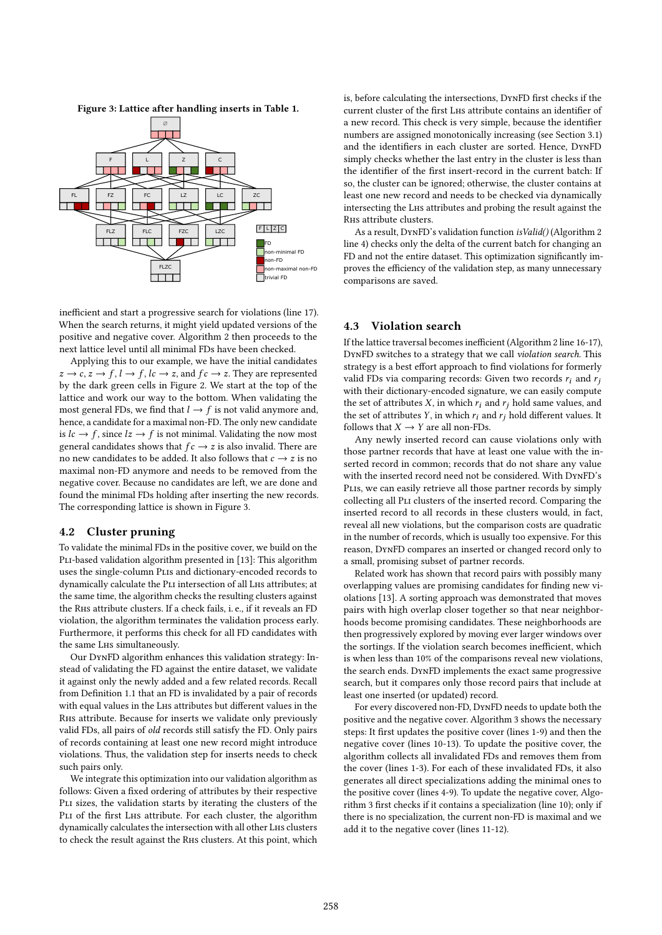



inefficient and start a progressive search for violations (line 17). When the search returns, it might yield updated versions of the positive and negative cover. Algorithm 2 then proceeds to the next lattice level until all minimal FDs have been checked.

Applying this to our example, we have the initial candidates  $z \to c$ ,  $z \to f$ ,  $l \to f$ ,  $lc \to z$ , and  $fc \to z$ . They are represented by the dark green cells in Figure 2. We start at the top of the lattice and work our way to the bottom. When validating the most general FDs, we find that  $l \rightarrow f$  is not valid anymore and, hence, a candidate for a maximal non-FD. The only new candidate is  $lc \rightarrow f$ , since  $lz \rightarrow f$  is not minimal. Validating the now most general candidates shows that  $fc \rightarrow z$  is also invalid. There are no new candidates to be added. It also follows that  $c \rightarrow z$  is no maximal non-FD anymore and needs to be removed from the negative cover. Because no candidates are left, we are done and found the minimal FDs holding after inserting the new records. The corresponding lattice is shown in Figure 3.

## 4.2 Cluster pruning

To validate the minimal FDs in the positive cover, we build on the PLI-based validation algorithm presented in [13]: This algorithm uses the single-column Plis and dictionary-encoded records to dynamically calculate the Pli intersection of all Lhs attributes; at the same time, the algorithm checks the resulting clusters against the Rhs attribute clusters. If a check fails, i. e., if it reveals an FD violation, the algorithm terminates the validation process early. Furthermore, it performs this check for all FD candidates with the same Lhs simultaneously.

Our DynFD algorithm enhances this validation strategy: Instead of validating the FD against the entire dataset, we validate it against only the newly added and a few related records. Recall from Definition 1.1 that an FD is invalidated by a pair of records with equal values in the Lhs attributes but different values in the Rhs attribute. Because for inserts we validate only previously valid FDs, all pairs of old records still satisfy the FD. Only pairs of records containing at least one new record might introduce violations. Thus, the validation step for inserts needs to check such pairs only.

We integrate this optimization into our validation algorithm as follows: Given a fixed ordering of attributes by their respective PLI sizes, the validation starts by iterating the clusters of the PLI of the first LHs attribute. For each cluster, the algorithm dynamically calculates the intersection with all other Lhs clusters to check the result against the Rhs clusters. At this point, which

is, before calculating the intersections, DynFD first checks if the current cluster of the first Lhs attribute contains an identifier of a new record. This check is very simple, because the identifier numbers are assigned monotonically increasing (see Section 3.1) and the identifiers in each cluster are sorted. Hence, DynFD simply checks whether the last entry in the cluster is less than the identifier of the first insert-record in the current batch: If so, the cluster can be ignored; otherwise, the cluster contains at least one new record and needs to be checked via dynamically intersecting the Lhs attributes and probing the result against the Rhs attribute clusters.

As a result, DynFD's validation function isValid() (Algorithm 2 line 4) checks only the delta of the current batch for changing an FD and not the entire dataset. This optimization significantly improves the efficiency of the validation step, as many unnecessary comparisons are saved.

#### 4.3 Violation search

If the lattice traversal becomes inefficient (Algorithm 2 line 16-17), DynFD switches to a strategy that we call violation search. This strategy is a best effort approach to find violations for formerly valid FDs via comparing records: Given two records  $r_i$  and  $r_j$ with their dictionary-encoded signature, we can easily compute the set of attributes  $X$ , in which  $r_i$  and  $r_j$  hold same values, and the set of attributes Y, in which  $r_i$  and  $r_j$  hold different values. It follows that  $X \rightarrow Y$  are all non-FDs.

Any newly inserted record can cause violations only with those partner records that have at least one value with the inserted record in common; records that do not share any value with the inserted record need not be considered. With DynFD's Plis, we can easily retrieve all those partner records by simply collecting all PLI clusters of the inserted record. Comparing the inserted record to all records in these clusters would, in fact, reveal all new violations, but the comparison costs are quadratic in the number of records, which is usually too expensive. For this reason, DynFD compares an inserted or changed record only to a small, promising subset of partner records.

Related work has shown that record pairs with possibly many overlapping values are promising candidates for finding new violations [13]. A sorting approach was demonstrated that moves pairs with high overlap closer together so that near neighborhoods become promising candidates. These neighborhoods are then progressively explored by moving ever larger windows over the sortings. If the violation search becomes inefficient, which is when less than 10% of the comparisons reveal new violations, the search ends. DynFD implements the exact same progressive search, but it compares only those record pairs that include at least one inserted (or updated) record.

For every discovered non-FD, DynFD needs to update both the positive and the negative cover. Algorithm 3 shows the necessary steps: It first updates the positive cover (lines 1-9) and then the negative cover (lines 10-13). To update the positive cover, the algorithm collects all invalidated FDs and removes them from the cover (lines 1-3). For each of these invalidated FDs, it also generates all direct specializations adding the minimal ones to the positive cover (lines 4-9). To update the negative cover, Algorithm 3 first checks if it contains a specialization (line 10); only if there is no specialization, the current non-FD is maximal and we add it to the negative cover (lines 11-12).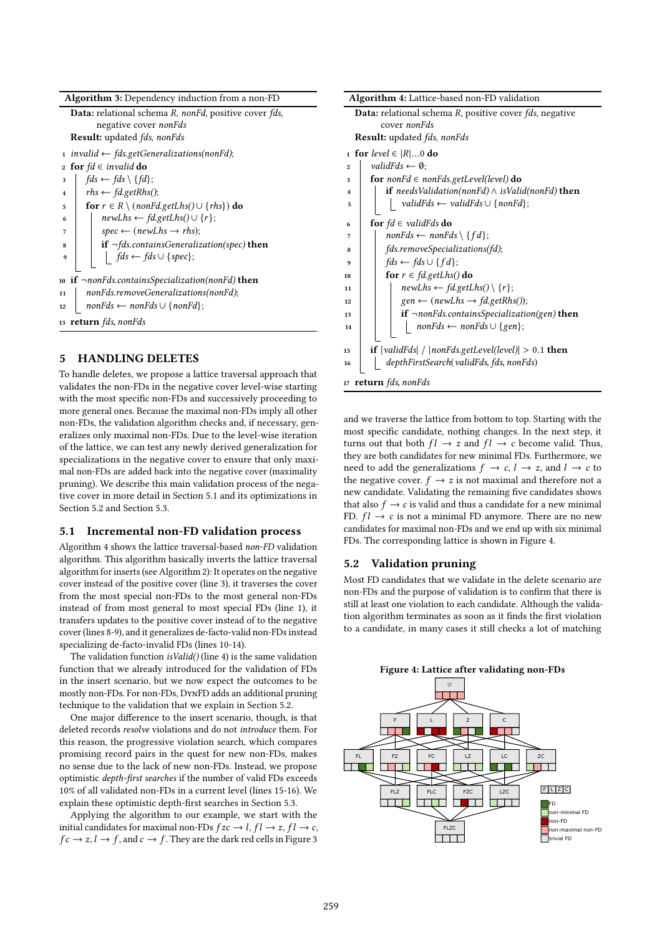| <b>Algorithm 3:</b> Dependency induction from a non-FD                      |  |  |  |  |  |  |
|-----------------------------------------------------------------------------|--|--|--|--|--|--|
| <b>Data:</b> relational schema R, nonFd, positive cover fds,                |  |  |  |  |  |  |
| negative cover <i>nonFds</i>                                                |  |  |  |  |  |  |
| <b>Result:</b> updated <i>fds</i> , <i>nonFds</i>                           |  |  |  |  |  |  |
| 1 invalid $\leftarrow$ fds.getGeneralizations(nonFd);                       |  |  |  |  |  |  |
| <b>for</b> $fd \in invalid$ do<br>$\overline{2}$                            |  |  |  |  |  |  |
| $fds \leftarrow fds \setminus \{fd\}$ :<br>3                                |  |  |  |  |  |  |
| $rhs \leftarrow fd.getRhs();$<br>$\overline{\mathbf{4}}$                    |  |  |  |  |  |  |
| for $r \in R \setminus (nonFd.getLhs() \cup \{rhs\})$ do<br>5               |  |  |  |  |  |  |
| $newLhs \leftarrow fd.getLhs() \cup \{r\};$<br>6                            |  |  |  |  |  |  |
| $spec \leftarrow (newLhs \rightarrow rhs);$<br>7                            |  |  |  |  |  |  |
| <b>if</b> $\neg$ <i>fds.containsGeneralization(spec)</i> <b>then</b><br>8   |  |  |  |  |  |  |
| $\qquad \qquad \text{fds} \leftarrow \text{fds} \cup \{\text{spec}\};$<br>9 |  |  |  |  |  |  |
|                                                                             |  |  |  |  |  |  |
| 10 if $\neg$ nonFds.containsSpecialization(nonFd) then                      |  |  |  |  |  |  |
| nonFds.removeGeneralizations(nonFd);<br>11                                  |  |  |  |  |  |  |
| $nonFds \leftarrow nonFds \cup \{nonFd\};$<br>12                            |  |  |  |  |  |  |
| 13 <b>return</b> fds, nonFds                                                |  |  |  |  |  |  |

## 5 HANDLING DELETES

To handle deletes, we propose a lattice traversal approach that validates the non-FDs in the negative cover level-wise starting with the most specific non-FDs and successively proceeding to more general ones. Because the maximal non-FDs imply all other non-FDs, the validation algorithm checks and, if necessary, generalizes only maximal non-FDs. Due to the level-wise iteration of the lattice, we can test any newly derived generalization for specializations in the negative cover to ensure that only maximal non-FDs are added back into the negative cover (maximality pruning). We describe this main validation process of the negative cover in more detail in Section 5.1 and its optimizations in Section 5.2 and Section 5.3.

### 5.1 Incremental non-FD validation process

Algorithm 4 shows the lattice traversal-based non-FD validation algorithm. This algorithm basically inverts the lattice traversal algorithm for inserts (see Algorithm 2): It operates on the negative cover instead of the positive cover (line 3), it traverses the cover from the most special non-FDs to the most general non-FDs instead of from most general to most special FDs (line 1), it transfers updates to the positive cover instead of to the negative cover (lines 8-9), and it generalizes de-facto-valid non-FDs instead specializing de-facto-invalid FDs (lines 10-14).

The validation function isValid() (line 4) is the same validation function that we already introduced for the validation of FDs in the insert scenario, but we now expect the outcomes to be mostly non-FDs. For non-FDs, DynFD adds an additional pruning technique to the validation that we explain in Section 5.2.

One major difference to the insert scenario, though, is that deleted records resolve violations and do not introduce them. For this reason, the progressive violation search, which compares promising record pairs in the quest for new non-FDs, makes no sense due to the lack of new non-FDs. Instead, we propose optimistic depth-first searches if the number of valid FDs exceeds 10% of all validated non-FDs in a current level (lines 15-16). We explain these optimistic depth-first searches in Section 5.3.

Applying the algorithm to our example, we start with the initial candidates for maximal non-FDs  $fzc \rightarrow l$ ,  $fl \rightarrow z$ ,  $fl \rightarrow c$ ,  $fc \rightarrow z, l \rightarrow f$ , and  $c \rightarrow f$ . They are the dark red cells in Figure 3

| <b>Algorithm 4:</b> Lattice-based non-FD validation                    |  |  |  |  |  |  |
|------------------------------------------------------------------------|--|--|--|--|--|--|
| <b>Data:</b> relational schema R, positive cover <i>fds</i> , negative |  |  |  |  |  |  |
| cover nonFds                                                           |  |  |  |  |  |  |
| <b>Result:</b> updated <i>fds</i> , nonFds                             |  |  |  |  |  |  |
| 1 for level $\in$ $ R 0$ do                                            |  |  |  |  |  |  |
| valid $Eds \leftarrow \emptyset$ :<br>$\overline{2}$                   |  |  |  |  |  |  |
| for $nonFd \in nonFds.getLevel(level)$ do<br>3                         |  |  |  |  |  |  |
| if needsValidation(nonFd) $\wedge$ isValid(nonFd) then<br>4            |  |  |  |  |  |  |
| validFds $\leftarrow$ validFds $\cup$ {nonFd};<br>5                    |  |  |  |  |  |  |
| for $fd \in validFds$ do<br>6                                          |  |  |  |  |  |  |
| $nonFds \leftarrow nonFds \setminus \{fd\};$<br>7                      |  |  |  |  |  |  |
| fds.removeSpecializations(fd);<br>8                                    |  |  |  |  |  |  |
| $fds \leftarrow fds \cup \{ fd\};$<br>9                                |  |  |  |  |  |  |
| for $r \in \text{fd.getLhs}(\mathcal{A})$ do<br>10                     |  |  |  |  |  |  |
| $newLhs \leftarrow fd.getLhs() \setminus \{r\};$<br>11                 |  |  |  |  |  |  |
| $gen \leftarrow (newLhs \rightarrow fd.getRhs))$ ;<br>12               |  |  |  |  |  |  |
| if $\neg$ nonFds.containsSpecialization(gen) then<br>13                |  |  |  |  |  |  |
| $nonFds \leftarrow nonFds \cup \{gen\};$<br>14                         |  |  |  |  |  |  |
| <b>if</b> $ validFds  /  nonFds.getLevel(level)  > 0.1$ then<br>15     |  |  |  |  |  |  |
| depthFirstSearch(validFds, fds, nonFds)<br>16                          |  |  |  |  |  |  |
| return fds, nonFds<br>17                                               |  |  |  |  |  |  |

and we traverse the lattice from bottom to top. Starting with the most specific candidate, nothing changes. In the next step, it turns out that both  $fl \rightarrow z$  and  $fl \rightarrow c$  become valid. Thus, they are both candidates for new minimal FDs. Furthermore, we need to add the generalizations  $f \to c$ ,  $l \to z$ , and  $l \to c$  to the negative cover.  $f \rightarrow z$  is not maximal and therefore not a new candidate. Validating the remaining five candidates shows that also  $f \rightarrow c$  is valid and thus a candidate for a new minimal FD.  $fl \rightarrow c$  is not a minimal FD anymore. There are no new candidates for maximal non-FDs and we end up with six minimal FDs. The corresponding lattice is shown in Figure 4.

## 5.2 Validation pruning

Most FD candidates that we validate in the delete scenario are non-FDs and the purpose of validation is to confirm that there is still at least one violation to each candidate. Although the validation algorithm terminates as soon as it finds the first violation to a candidate, in many cases it still checks a lot of matching

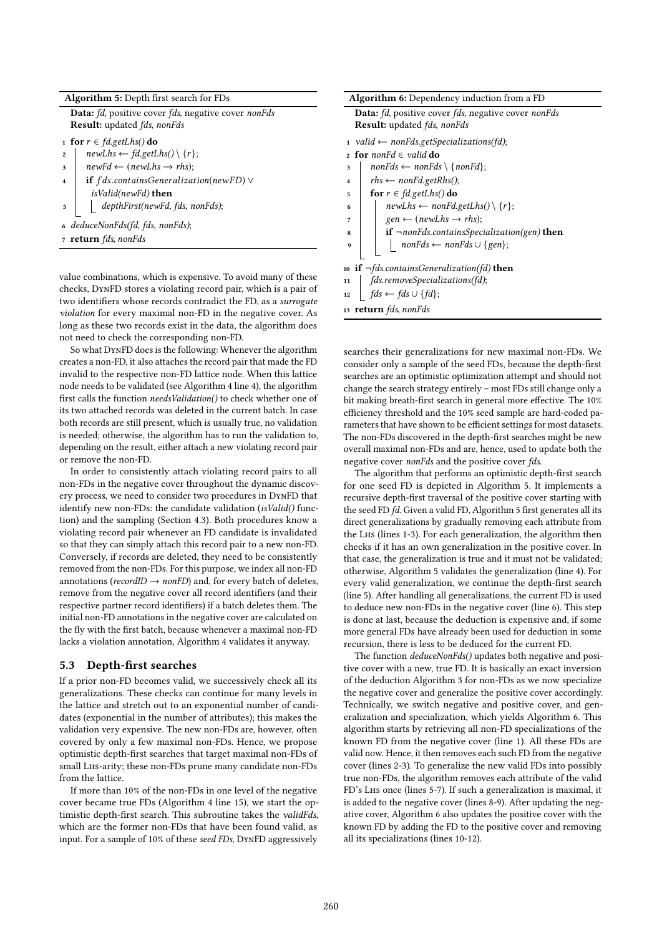| Data: fd, positive cover fds, negative cover nonFds<br><b>Result:</b> updated <i>fds</i> , <i>nonFds</i><br>1 for $r \in \mathit{fd.getLhs}()$ do<br>$newLhs \leftarrow fd.getLhs() \ (r);$<br>$\overline{2}$<br>$newFd \leftarrow (newLhs \rightarrow rhs);$<br>3<br>if $fds$ .containsGeneralization(newFD) $\vee$<br>$\overline{\mathbf{4}}$ |  |  |  |  |  |
|-------------------------------------------------------------------------------------------------------------------------------------------------------------------------------------------------------------------------------------------------------------------------------------------------------------------------------------------------|--|--|--|--|--|
|                                                                                                                                                                                                                                                                                                                                                 |  |  |  |  |  |
|                                                                                                                                                                                                                                                                                                                                                 |  |  |  |  |  |
|                                                                                                                                                                                                                                                                                                                                                 |  |  |  |  |  |
|                                                                                                                                                                                                                                                                                                                                                 |  |  |  |  |  |
|                                                                                                                                                                                                                                                                                                                                                 |  |  |  |  |  |
|                                                                                                                                                                                                                                                                                                                                                 |  |  |  |  |  |
| isValid(newFd) <b>then</b>                                                                                                                                                                                                                                                                                                                      |  |  |  |  |  |
| depthFirst(newFd, fds, nonFds);<br>5                                                                                                                                                                                                                                                                                                            |  |  |  |  |  |
| deduceNonFds(fd, fds, nonFds);                                                                                                                                                                                                                                                                                                                  |  |  |  |  |  |
| 7 <b>return</b> fds, nonFds                                                                                                                                                                                                                                                                                                                     |  |  |  |  |  |
|                                                                                                                                                                                                                                                                                                                                                 |  |  |  |  |  |

value combinations, which is expensive. To avoid many of these checks, DynFD stores a violating record pair, which is a pair of two identifiers whose records contradict the FD, as a surrogate violation for every maximal non-FD in the negative cover. As long as these two records exist in the data, the algorithm does not need to check the corresponding non-FD.

So what DynFD does is the following: Whenever the algorithm creates a non-FD, it also attaches the record pair that made the FD invalid to the respective non-FD lattice node. When this lattice node needs to be validated (see Algorithm 4 line 4), the algorithm first calls the function needsValidation() to check whether one of its two attached records was deleted in the current batch. In case both records are still present, which is usually true, no validation is needed; otherwise, the algorithm has to run the validation to, depending on the result, either attach a new violating record pair or remove the non-FD.

In order to consistently attach violating record pairs to all non-FDs in the negative cover throughout the dynamic discovery process, we need to consider two procedures in DynFD that identify new non-FDs: the candidate validation (isValid() function) and the sampling (Section 4.3). Both procedures know a violating record pair whenever an FD candidate is invalidated so that they can simply attach this record pair to a new non-FD. Conversely, if records are deleted, they need to be consistently removed from the non-FDs. For this purpose, we index all non-FD annotations ( $recordID \rightarrow nonFD$ ) and, for every batch of deletes, remove from the negative cover all record identifiers (and their respective partner record identifiers) if a batch deletes them. The initial non-FD annotations in the negative cover are calculated on the fly with the first batch, because whenever a maximal non-FD lacks a violation annotation, Algorithm 4 validates it anyway.

## 5.3 Depth-first searches

If a prior non-FD becomes valid, we successively check all its generalizations. These checks can continue for many levels in the lattice and stretch out to an exponential number of candidates (exponential in the number of attributes); this makes the validation very expensive. The new non-FDs are, however, often covered by only a few maximal non-FDs. Hence, we propose optimistic depth-first searches that target maximal non-FDs of small Lhs-arity; these non-FDs prune many candidate non-FDs from the lattice.

If more than 10% of the non-FDs in one level of the negative cover became true FDs (Algorithm 4 line 15), we start the optimistic depth-first search. This subroutine takes the validFds, which are the former non-FDs that have been found valid, as input. For a sample of 10% of these seed FDs, DynFD aggressively

| Algorithm 6: Dependency induction from a FD                                 |  |  |  |  |  |  |
|-----------------------------------------------------------------------------|--|--|--|--|--|--|
| <b>Data:</b> fd, positive cover fds, negative cover nonFds                  |  |  |  |  |  |  |
| <b>Result:</b> updated <i>fds</i> , nonFds                                  |  |  |  |  |  |  |
| 1 valid $\leftarrow$ nonFds.getSpecializations(fd);                         |  |  |  |  |  |  |
| for nonFd $\in$ valid do<br>$\mathbf{r}$                                    |  |  |  |  |  |  |
| $nonFds \leftarrow nonFds \setminus \{nonFd\};$<br>3                        |  |  |  |  |  |  |
| $rhs \leftarrow nonFd.getRhs();$<br>$\overline{\bf{4}}$                     |  |  |  |  |  |  |
| for $r \in \text{fd.getLhs}()$ do<br>5                                      |  |  |  |  |  |  |
| $newLhs \leftarrow nonFd.getLhs() \ (r);$<br>6                              |  |  |  |  |  |  |
| $gen \leftarrow (newLhs \rightarrow rhs);$<br>7                             |  |  |  |  |  |  |
| <b>if</b> $\neg$ <i>nonFds.containsSpecialization(gen)</i> <b>then</b><br>8 |  |  |  |  |  |  |
| $nonFds \leftarrow nonFds \cup \{gen\};$<br>9                               |  |  |  |  |  |  |
|                                                                             |  |  |  |  |  |  |
| 10 if $\neg$ <i>fds.containsGeneralization(fd)</i> then                     |  |  |  |  |  |  |
| fds.removeSpecializations(fd);<br>11                                        |  |  |  |  |  |  |
| $fds \leftarrow fds \cup \{fd\};$<br>12                                     |  |  |  |  |  |  |
| 13 <b>return</b> <i>fds</i> , <i>nonFds</i>                                 |  |  |  |  |  |  |

searches their generalizations for new maximal non-FDs. We consider only a sample of the seed FDs, because the depth-first searches are an optimistic optimization attempt and should not change the search strategy entirely – most FDs still change only a bit making breath-first search in general more effective. The 10% efficiency threshold and the 10% seed sample are hard-coded parameters that have shown to be efficient settings for most datasets. The non-FDs discovered in the depth-first searches might be new overall maximal non-FDs and are, hence, used to update both the negative cover nonFds and the positive cover fds.

The algorithm that performs an optimistic depth-first search for one seed FD is depicted in Algorithm 5. It implements a recursive depth-first traversal of the positive cover starting with the seed FD fd. Given a valid FD, Algorithm 5 first generates all its direct generalizations by gradually removing each attribute from the Lhs (lines 1-3). For each generalization, the algorithm then checks if it has an own generalization in the positive cover. In that case, the generalization is true and it must not be validated; otherwise, Algorithm 5 validates the generalization (line 4). For every valid generalization, we continue the depth-first search (line 5). After handling all generalizations, the current FD is used to deduce new non-FDs in the negative cover (line 6). This step is done at last, because the deduction is expensive and, if some more general FDs have already been used for deduction in some recursion, there is less to be deduced for the current FD.

The function *deduceNonFds()* updates both negative and positive cover with a new, true FD. It is basically an exact inversion of the deduction Algorithm 3 for non-FDs as we now specialize the negative cover and generalize the positive cover accordingly. Technically, we switch negative and positive cover, and generalization and specialization, which yields Algorithm 6. This algorithm starts by retrieving all non-FD specializations of the known FD from the negative cover (line 1). All these FDs are valid now. Hence, it then removes each such FD from the negative cover (lines 2-3). To generalize the new valid FDs into possibly true non-FDs, the algorithm removes each attribute of the valid FD's Lhs once (lines 5-7). If such a generalization is maximal, it is added to the negative cover (lines 8-9). After updating the negative cover, Algorithm 6 also updates the positive cover with the known FD by adding the FD to the positive cover and removing all its specializations (lines 10-12).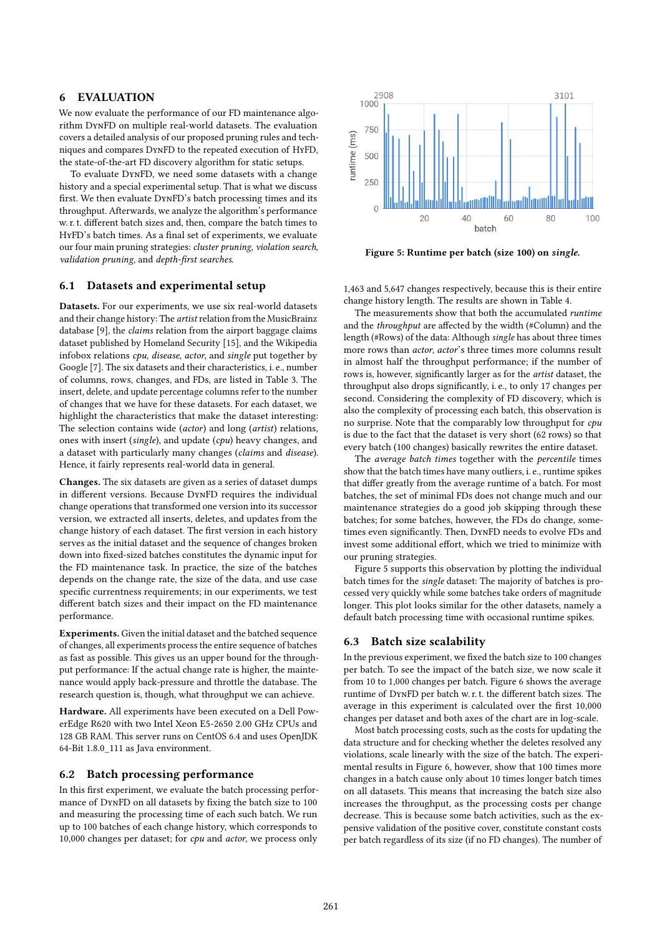# 6 EVALUATION

We now evaluate the performance of our FD maintenance algorithm DynFD on multiple real-world datasets. The evaluation covers a detailed analysis of our proposed pruning rules and techniques and compares DynFD to the repeated execution of HyFD, the state-of-the-art FD discovery algorithm for static setups.

To evaluate DynFD, we need some datasets with a change history and a special experimental setup. That is what we discuss first. We then evaluate DynFD's batch processing times and its throughput. Afterwards, we analyze the algorithm's performance w. r. t. different batch sizes and, then, compare the batch times to HyFD's batch times. As a final set of experiments, we evaluate our four main pruning strategies: cluster pruning, violation search, validation pruning, and depth-first searches.

## 6.1 Datasets and experimental setup

Datasets. For our experiments, we use six real-world datasets and their change history: The artist relation from the MusicBrainz database [9], the claims relation from the airport baggage claims dataset published by Homeland Security [15], and the Wikipedia infobox relations cpu, disease, actor, and single put together by Google [7]. The six datasets and their characteristics, i. e., number of columns, rows, changes, and FDs, are listed in Table 3. The insert, delete, and update percentage columns refer to the number of changes that we have for these datasets. For each dataset, we highlight the characteristics that make the dataset interesting: The selection contains wide (actor) and long (artist) relations, ones with insert (single), and update (cpu) heavy changes, and a dataset with particularly many changes (claims and disease). Hence, it fairly represents real-world data in general.

Changes. The six datasets are given as a series of dataset dumps in different versions. Because DynFD requires the individual change operations that transformed one version into its successor version, we extracted all inserts, deletes, and updates from the change history of each dataset. The first version in each history serves as the initial dataset and the sequence of changes broken down into fixed-sized batches constitutes the dynamic input for the FD maintenance task. In practice, the size of the batches depends on the change rate, the size of the data, and use case specific currentness requirements; in our experiments, we test different batch sizes and their impact on the FD maintenance performance.

Experiments. Given the initial dataset and the batched sequence of changes, all experiments process the entire sequence of batches as fast as possible. This gives us an upper bound for the throughput performance: If the actual change rate is higher, the maintenance would apply back-pressure and throttle the database. The research question is, though, what throughput we can achieve.

Hardware. All experiments have been executed on a Dell PowerEdge R620 with two Intel Xeon E5-2650 2.00 GHz CPUs and 128 GB RAM. This server runs on CentOS 6.4 and uses OpenJDK 64-Bit 1.8.0\_111 as Java environment.

## 6.2 Batch processing performance

In this first experiment, we evaluate the batch processing performance of DynFD on all datasets by fixing the batch size to 100 and measuring the processing time of each such batch. We run up to 100 batches of each change history, which corresponds to 10,000 changes per dataset; for cpu and actor, we process only



Figure 5: Runtime per batch (size 100) on single.

1,463 and 5,647 changes respectively, because this is their entire change history length. The results are shown in Table 4.

The measurements show that both the accumulated runtime and the throughput are affected by the width (#Column) and the length (#Rows) of the data: Although single has about three times more rows than *actor, actor's* three times more columns result in almost half the throughput performance; if the number of rows is, however, significantly larger as for the artist dataset, the throughput also drops significantly, i. e., to only 17 changes per second. Considering the complexity of FD discovery, which is also the complexity of processing each batch, this observation is no surprise. Note that the comparably low throughput for cpu is due to the fact that the dataset is very short (62 rows) so that every batch (100 changes) basically rewrites the entire dataset.

The average batch times together with the percentile times show that the batch times have many outliers, i. e., runtime spikes that differ greatly from the average runtime of a batch. For most batches, the set of minimal FDs does not change much and our maintenance strategies do a good job skipping through these batches; for some batches, however, the FDs do change, sometimes even significantly. Then, DynFD needs to evolve FDs and invest some additional effort, which we tried to minimize with our pruning strategies.

Figure 5 supports this observation by plotting the individual batch times for the single dataset: The majority of batches is processed very quickly while some batches take orders of magnitude longer. This plot looks similar for the other datasets, namely a default batch processing time with occasional runtime spikes.

#### 6.3 Batch size scalability

In the previous experiment, we fixed the batch size to 100 changes per batch. To see the impact of the batch size, we now scale it from 10 to 1,000 changes per batch. Figure 6 shows the average runtime of DynFD per batch w. r. t. the different batch sizes. The average in this experiment is calculated over the first 10,000 changes per dataset and both axes of the chart are in log-scale.

Most batch processing costs, such as the costs for updating the data structure and for checking whether the deletes resolved any violations, scale linearly with the size of the batch. The experimental results in Figure 6, however, show that 100 times more changes in a batch cause only about 10 times longer batch times on all datasets. This means that increasing the batch size also increases the throughput, as the processing costs per change decrease. This is because some batch activities, such as the expensive validation of the positive cover, constitute constant costs per batch regardless of its size (if no FD changes). The number of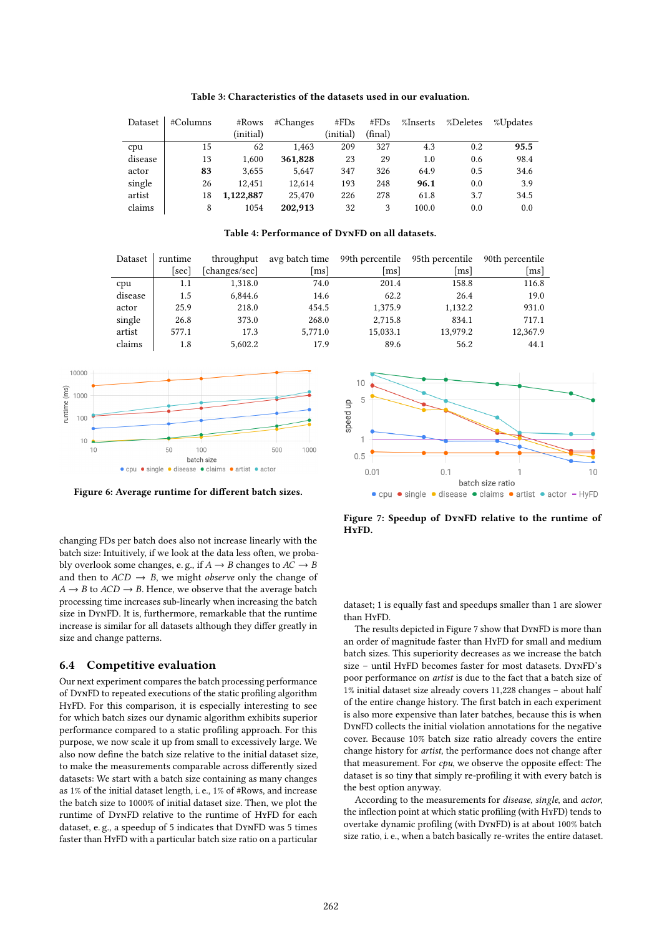| Dataset | #Columns | #Rows     | #Changes | #FDs      | #FDs    | %Inserts | %Deletes | %Updates |
|---------|----------|-----------|----------|-----------|---------|----------|----------|----------|
|         |          | (initial) |          | (initial) | (final) |          |          |          |
| cpu     | 15       | 62        | 1.463    | 209       | 327     | 4.3      | 0.2      | 95.5     |
| disease | 13       | 1.600     | 361,828  | 23        | 29      | 1.0      | 0.6      | 98.4     |
| actor   | 83       | 3.655     | 5.647    | 347       | 326     | 64.9     | 0.5      | 34.6     |
| single  | 26       | 12.451    | 12.614   | 193       | 248     | 96.1     | 0.0      | 3.9      |
| artist  | 18       | 1,122,887 | 25,470   | 226       | 278     | 61.8     | 3.7      | 34.5     |
| claims  | 8        | 1054      | 202.913  | 32        | 3       | 100.0    | 0.0      | 0.0      |

Table 3: Characteristics of the datasets used in our evaluation.

#### Table 4: Performance of DynFD on all datasets.

| Dataset | runtime | throughput    | avg batch time       | 99th percentile | 95th percentile | 90th percentile      |
|---------|---------|---------------|----------------------|-----------------|-----------------|----------------------|
|         | l sec l | [changes/sec] | $\lfloor ms \rfloor$ | ms              | ms              | $\lfloor ms \rfloor$ |
| cpu     | 1.1     | 1.318.0       | 74.0                 | 201.4           | 158.8           | 116.8                |
| disease | 1.5     | 6.844.6       | 14.6                 | 62.2            | 26.4            | 19.0                 |
| actor   | 25.9    | 218.0         | 454.5                | 1.375.9         | 1.132.2         | 931.0                |
| single  | 26.8    | 373.0         | 268.0                | 2.715.8         | 834.1           | 717.1                |
| artist  | 577.1   | 17.3          | 5.771.0              | 15.033.1        | 13.979.2        | 12.367.9             |
| claims  | 1.8     | 5.602.2       | 17.9                 | 89.6            | 56.2            | 44.1                 |



Figure 6: Average runtime for different batch sizes.

changing FDs per batch does also not increase linearly with the batch size: Intuitively, if we look at the data less often, we probably overlook some changes, e.g., if  $A \to B$  changes to  $A\bar C \to B$ and then to  $ACD \rightarrow B$ , we might *observe* only the change of  $A \rightarrow B$  to  $ACD \rightarrow B$ . Hence, we observe that the average batch processing time increases sub-linearly when increasing the batch size in DynFD. It is, furthermore, remarkable that the runtime increase is similar for all datasets although they differ greatly in size and change patterns.

## 6.4 Competitive evaluation

Our next experiment compares the batch processing performance of DynFD to repeated executions of the static profiling algorithm HyFD. For this comparison, it is especially interesting to see for which batch sizes our dynamic algorithm exhibits superior performance compared to a static profiling approach. For this purpose, we now scale it up from small to excessively large. We also now define the batch size relative to the initial dataset size, to make the measurements comparable across differently sized datasets: We start with a batch size containing as many changes as 1% of the initial dataset length, i. e., 1% of #Rows, and increase the batch size to 1000% of initial dataset size. Then, we plot the runtime of DynFD relative to the runtime of HyFD for each dataset, e. g., a speedup of 5 indicates that DynFD was 5 times faster than HyFD with a particular batch size ratio on a particular



Figure 7: Speedup of DynFD relative to the runtime of HyFD.

dataset; 1 is equally fast and speedups smaller than 1 are slower than HyFD.

The results depicted in Figure 7 show that DynFD is more than an order of magnitude faster than HyFD for small and medium batch sizes. This superiority decreases as we increase the batch size – until HyFD becomes faster for most datasets. DynFD's poor performance on artist is due to the fact that a batch size of 1% initial dataset size already covers 11,228 changes – about half of the entire change history. The first batch in each experiment is also more expensive than later batches, because this is when DynFD collects the initial violation annotations for the negative cover. Because 10% batch size ratio already covers the entire change history for artist, the performance does not change after that measurement. For  $cpu$ , we observe the opposite effect: The dataset is so tiny that simply re-profiling it with every batch is the best option anyway.

According to the measurements for disease, single, and actor, the inflection point at which static profiling (with HyFD) tends to overtake dynamic profiling (with DynFD) is at about 100% batch size ratio, i. e., when a batch basically re-writes the entire dataset.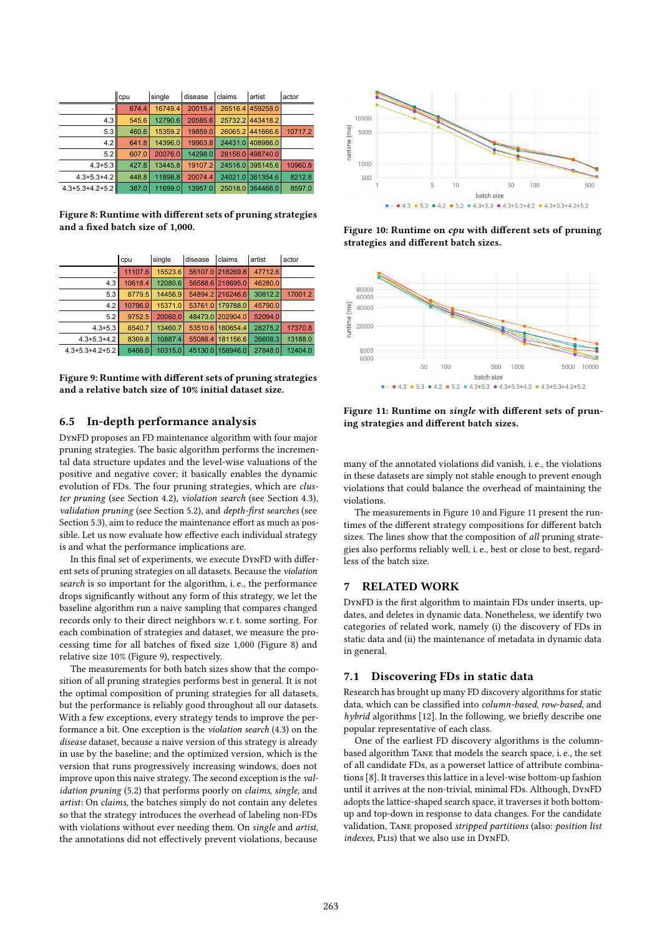|                         | cpu   | single  | disease | claims  | artist           | actor   |
|-------------------------|-------|---------|---------|---------|------------------|---------|
|                         | 674.4 | 16749.4 | 20015.4 | 26516.4 | 459258.0         |         |
| 4.3                     | 545.6 | 12790.6 | 20585.6 |         | 25732.2 443418.2 |         |
| 5.3                     | 460.6 | 15359.2 | 19859.0 |         | 26065.2 441666.6 | 10717.2 |
| 4.2                     | 641.8 | 14396.0 | 19963.8 | 24431.0 | 408986.0         |         |
| 5.2                     | 607.0 | 20076.0 | 14298.0 | 28156.0 | 498740.0         |         |
| $4.3 + 5.3$             | 427.8 | 13445.8 | 19107.2 |         | 24516.0 395145.6 | 10960.8 |
| $4.3 + 5.3 + 4.2$       | 448.8 | 11898.8 | 20074.4 | 24021.0 | 361354.6         | 8212.8  |
| $4.3 + 5.3 + 4.2 + 5.2$ | 387.0 | 11699.0 | 13957.0 |         | 25018.0 364466.0 | 8597.0  |

Figure 8: Runtime with different sets of pruning strategies and a fixed batch size of 1,000.

|                         | cpu     | single  | disease | claims           | artist  | actor   |
|-------------------------|---------|---------|---------|------------------|---------|---------|
|                         | 11107.6 | 15523.6 |         | 56107.0 218269.8 | 47712.6 |         |
| 4.3                     | 10618.4 | 12080.6 |         | 56588.6 218695.0 | 46280.0 |         |
| 5.3                     | 8779.5  | 14456.9 |         | 54894.2 216246.6 | 30812.2 | 17001.2 |
| 4.2                     | 10796.0 | 15371.0 |         | 53761.0 179788.0 | 45790.0 |         |
| 5.2                     | 9752.5  | 20060.0 |         | 48473.0 202904.0 | 52094.0 |         |
| $4.3 + 5.3$             | 8540.7  | 13460.7 | 53510.6 | 180654.4         | 28275.2 | 17370.8 |
| $4.3 + 5.3 + 4.2$       | 8369.8  | 10887.4 | 55088.4 | 181156.6         | 26608.3 | 13188.0 |
| $4.3 + 5.3 + 4.2 + 5.2$ | 6466.0  | 10315.0 | 45130.0 | 158946.0         | 27848.0 | 12404.0 |

Figure 9: Runtime with different sets of pruning strategies and a relative batch size of 10% initial dataset size.

## 6.5 In-depth performance analysis

DynFD proposes an FD maintenance algorithm with four major pruning strategies. The basic algorithm performs the incremental data structure updates and the level-wise valuations of the positive and negative cover; it basically enables the dynamic evolution of FDs. The four pruning strategies, which are cluster pruning (see Section 4.2), violation search (see Section 4.3), validation pruning (see Section 5.2), and depth-first searches (see Section 5.3), aim to reduce the maintenance effort as much as possible. Let us now evaluate how effective each individual strategy is and what the performance implications are.

In this final set of experiments, we execute DynFD with different sets of pruning strategies on all datasets. Because the violation search is so important for the algorithm, i. e., the performance drops significantly without any form of this strategy, we let the baseline algorithm run a naive sampling that compares changed records only to their direct neighbors w. r. t. some sorting. For each combination of strategies and dataset, we measure the processing time for all batches of fixed size 1,000 (Figure 8) and relative size 10% (Figure 9), respectively.

The measurements for both batch sizes show that the composition of all pruning strategies performs best in general. It is not the optimal composition of pruning strategies for all datasets, but the performance is reliably good throughout all our datasets. With a few exceptions, every strategy tends to improve the performance a bit. One exception is the violation search (4.3) on the disease dataset, because a naive version of this strategy is already in use by the baseline; and the optimized version, which is the version that runs progressively increasing windows, does not improve upon this naive strategy. The second exception is the validation pruning (5.2) that performs poorly on *claims*, *single*, and artist: On claims, the batches simply do not contain any deletes so that the strategy introduces the overhead of labeling non-FDs with violations without ever needing them. On single and artist, the annotations did not effectively prevent violations, because



Figure 10: Runtime on cpu with different sets of pruning strategies and different batch sizes.



Figure 11: Runtime on single with different sets of pruning strategies and different batch sizes.

many of the annotated violations did vanish, i. e., the violations in these datasets are simply not stable enough to prevent enough violations that could balance the overhead of maintaining the violations.

The measurements in Figure 10 and Figure 11 present the runtimes of the different strategy compositions for different batch sizes. The lines show that the composition of all pruning strategies also performs reliably well, i. e., best or close to best, regardless of the batch size.

## 7 RELATED WORK

DynFD is the first algorithm to maintain FDs under inserts, updates, and deletes in dynamic data. Nonetheless, we identify two categories of related work, namely (i) the discovery of FDs in static data and (ii) the maintenance of metadata in dynamic data in general.

## 7.1 Discovering FDs in static data

Research has brought up many FD discovery algorithms for static data, which can be classified into column-based, row-based, and hybrid algorithms [12]. In the following, we briefly describe one popular representative of each class.

One of the earliest FD discovery algorithms is the columnbased algorithm Tane that models the search space, i. e., the set of all candidate FDs, as a powerset lattice of attribute combinations [8]. It traverses this lattice in a level-wise bottom-up fashion until it arrives at the non-trivial, minimal FDs. Although, DynFD adopts the lattice-shaped search space, it traverses it both bottomup and top-down in response to data changes. For the candidate validation, Tane proposed stripped partitions (also: position list indexes, PLIs) that we also use in DYNFD.